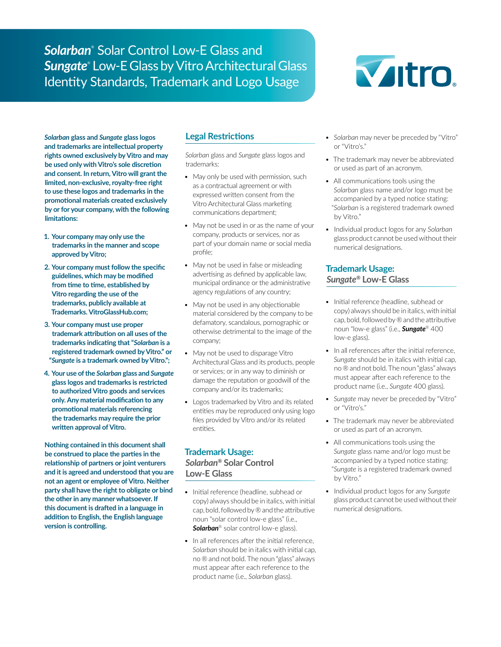*Solarban*® Solar Control Low-E Glass and *Sungate*® Low-E Glass by Vitro Architectural Glass Identity Standards, Trademark and Logo Usage



*Solarban* **glass and** *Sungate* **glass logos and trademarks are intellectual property rights owned exclusively by Vitro and may be used only with Vitro's sole discretion and consent. In return, Vitro will grant the limited, non-exclusive, royalty-free right to use these logos and trademarks in the promotional materials created exclusively by or for your company, with the following limitations:**

- **1. Your company may only use the trademarks in the manner and scope approved by Vitro;**
- **2. Your company must follow the specific guidelines, which may be modified from time to time, established by Vitro regarding the use of the trademarks, publicly available at Trademarks. VitroGlassHub.com;**
- **3. Your company must use proper trademark attribution on all uses of the trademarks indicating that "***Solarban* **is a registered trademark owned by Vitro." or "***Sungate* **is a trademark owned by Vitro.";**
- **4. Your use of the** *Solarban* **glass and** *Sungate* **glass logos and trademarks is restricted to authorized Vitro goods and services only. Any material modification to any promotional materials referencing the trademarks may require the prior written approval of Vitro.**

**Nothing contained in this document shall be construed to place the parties in the relationship of partners or joint venturers and it is agreed and understood that you are not an agent or employee of Vitro. Neither party shall have the right to obligate or bind the other in any manner whatsoever. If this document is drafted in a language in addition to English, the English language version is controlling.**

# **Legal Restrictions**

*Solarban* glass and *Sungate* glass logos and trademarks:

- May only be used with permission, such as a contractual agreement or with expressed written consent from the Vitro Architectural Glass marketing communications department;
- May not be used in or as the name of your company, products or services, nor as part of your domain name or social media profile;
- May not be used in false or misleading advertising as defined by applicable law, municipal ordinance or the administrative agency regulations of any country;
- May not be used in any objectionable material considered by the company to be defamatory, scandalous, pornographic or otherwise detrimental to the image of the company;
- May not be used to disparage Vitro Architectural Glass and its products, people or services; or in any way to diminish or damage the reputation or goodwill of the company and/or its trademarks;
- Logos trademarked by Vitro and its related entities may be reproduced only using logo files provided by Vitro and/or its related entities.

## **Trademark Usage:** *Solarban®* **Solar Control Low-E Glass**

- Initial reference (headline, subhead or copy) always should be in italics, with initial cap, bold, followed by ® and the attributive noun "solar control low-e glass" (i.e., *Solarban*® solar control low-e glass).
- In all references after the initial reference, *Solarban* should be in italics with initial cap, no ® and not bold. The noun "glass" always must appear after each reference to the product name (i.e., *Solarban* glass).
- *• Solarban* may never be preceded by "Vitro" or "Vitro's."
- The trademark may never be abbreviated or used as part of an acronym.
- All communications tools using the *Solarban* glass name and/or logo must be accompanied by a typed notice stating: "*Solarban* is a registered trademark owned by Vitro."
- Individual product logos for any *Solarban* glass product cannot be used without their numerical designations.

## **Trademark Usage:** *Sungate®* **Low-E Glass**

- Initial reference (headline, subhead or copy) always should be in italics, with initial cap, bold, followed by ® and the attributive noun "low-e glass" (i.e., *Sungate*® 400 low-e glass).
- In all references after the initial reference, *Sungate* should be in italics with initial cap, no ® and not bold. The noun "glass" always must appear after each reference to the product name (i.e., *Sungate* 400 glass).
- *• Sungate* may never be preceded by "Vitro" or "Vitro's."
- The trademark may never be abbreviated or used as part of an acronym.
- All communications tools using the *Sungate* glass name and/or logo must be accompanied by a typed notice stating: "*Sungate* is a registered trademark owned by Vitro."
- Individual product logos for any *Sungate* glass product cannot be used without their numerical designations.